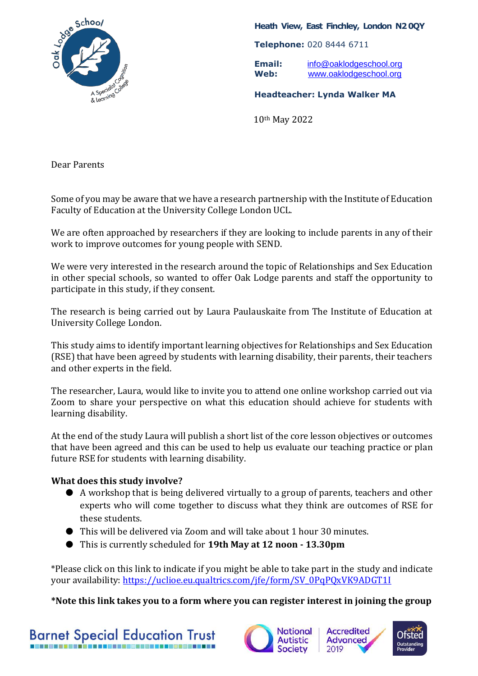

## **Heath View, East Finchley, London N2 0QY**

**Telephone:** 020 8444 6711

**Email:** [info@oaklodgeschool.org](mailto:info@oaklodgeschool.org) **Web:** [www.oaklodgeschool.org](http://www.oaklodgeschool.org/)

**Headteacher: Lynda Walker MA**

10th May 2022

Dear Parents

Some of you may be aware that we have a research partnership with the Institute of Education Faculty of Education at the University College London UCL.

We are often approached by researchers if they are looking to include parents in any of their work to improve outcomes for young people with SEND.

We were very interested in the research around the topic of Relationships and Sex Education in other special schools, so wanted to offer Oak Lodge parents and staff the opportunity to participate in this study, if they consent.

The research is being carried out by Laura Paulauskaite from The Institute of Education at University College London.

This study aims to identify important learning objectives for Relationships and Sex Education (RSE) that have been agreed by students with learning disability, their parents, their teachers and other experts in the field.

The researcher, Laura, would like to invite you to attend one online workshop carried out via Zoom to share your perspective on what this education should achieve for students with learning disability.

At the end of the study Laura will publish a short list of the core lesson objectives or outcomes that have been agreed and this can be used to help us evaluate our teaching practice or plan future RSE for students with learning disability.

## **What does this study involve?**

- A workshop that is being delivered virtually to a group of parents, teachers and other experts who will come together to discuss what they think are outcomes of RSE for these students.
- This will be delivered via Zoom and will take about 1 hour 30 minutes.
- This is currently scheduled for **19th May at 12 noon - 13.30pm**

\*Please click on this link to indicate if you might be able to take part in the study and indicate your availability: [https://uclioe.eu.qualtrics.com/jfe/form/SV\\_0PqPQxVK9ADGT1I](https://uclioe.eu.qualtrics.com/jfe/form/SV_0PqPQxVK9ADGT1I)

**\*Note this link takes you to a form where you can register interest in joining the group**